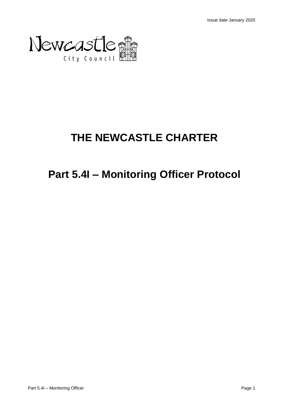

# **THE NEWCASTLE CHARTER**

# **Part 5.4I – Monitoring Officer Protocol**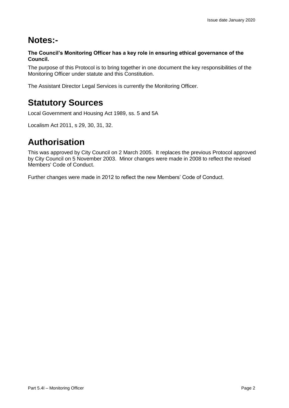# **Notes:-**

**The Council's Monitoring Officer has a key role in ensuring ethical governance of the Council.**

The purpose of this Protocol is to bring together in one document the key responsibilities of the Monitoring Officer under statute and this Constitution.

The Assistant Director Legal Services is currently the Monitoring Officer.

# **Statutory Sources**

Local Government and Housing Act 1989, ss. 5 and 5A

Localism Act 2011, s 29, 30, 31, 32.

# **Authorisation**

This was approved by City Council on 2 March 2005. It replaces the previous Protocol approved by City Council on 5 November 2003. Minor changes were made in 2008 to reflect the revised Members' Code of Conduct.

Further changes were made in 2012 to reflect the new Members' Code of Conduct.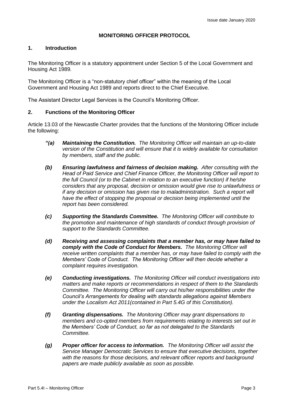# **MONITORING OFFICER PROTOCOL**

# **1. Introduction**

The Monitoring Officer is a statutory appointment under Section 5 of the Local Government and Housing Act 1989.

The Monitoring Officer is a "non-statutory chief officer" within the meaning of the Local Government and Housing Act 1989 and reports direct to the Chief Executive.

The Assistant Director Legal Services is the Council's Monitoring Officer.

### **2. Functions of the Monitoring Officer**

Article 13.03 of the Newcastle Charter provides that the functions of the Monitoring Officer include the following:

- *"(a) Maintaining the Constitution. The Monitoring Officer will maintain an up-to-date version of the Constitution and will ensure that it is widely available for consultation by members, staff and the public.*
- *(b) Ensuring lawfulness and fairness of decision making. After consulting with the Head of Paid Service and Chief Finance Officer, the Monitoring Officer will report to the full Council (or to the Cabinet in relation to an executive function) if he/she considers that any proposal, decision or omission would give rise to unlawfulness or if any decision or omission has given rise to maladministration. Such a report will have the effect of stopping the proposal or decision being implemented until the report has been considered.*
- *(c) Supporting the Standards Committee. The Monitoring Officer will contribute to the promotion and maintenance of high standards of conduct through provision of support to the Standards Committee.*
- *(d) Receiving and assessing complaints that a member has, or may have failed to comply with the Code of Conduct for Members. The Monitoring Officer will receive written complaints that a member has, or may have failed to comply with the Members' Code of Conduct. The Monitoring Officer will then decide whether a complaint requires investigation.*
- *(e) Conducting investigations. The Monitoring Officer will conduct investigations into matters and make reports or recommendations in respect of them to the Standards Committee. The Monitoring Officer will carry out his/her responsibilities under the Council's Arrangements for dealing with standards allegations against Members under the Localism Act 2011(contained in Part 5.4G of this Constitution).*
- *(f) Granting dispensations. The Monitoring Officer may grant dispensations to members and co-opted members from requirements relating to interests set out in the Members' Code of Conduct, so far as not delegated to the Standards Committee.*
- *(g) Proper officer for access to information. The Monitoring Officer will assist the Service Manager Democratic Services to ensure that executive decisions, together with the reasons for those decisions, and relevant officer reports and background papers are made publicly available as soon as possible.*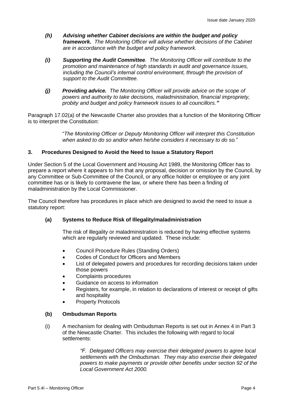- *(h) Advising whether Cabinet decisions are within the budget and policy framework. The Monitoring Officer will advise whether decisions of the Cabinet are in accordance with the budget and policy framework.*
- *(i) Supporting the Audit Committee. The Monitoring Officer will contribute to the promotion and maintenance of high standards in audit and governance issues, including the Council's internal control environment, through the provision of support to the Audit Committee.*
- *(j) Providing advice. The Monitoring Officer will provide advice on the scope of powers and authority to take decisions, maladministration, financial impropriety, probity and budget and policy framework issues to all councillors."*

Paragraph 17.02(a) of the Newcastle Charter also provides that a function of the Monitoring Officer is to interpret the Constitution:

> "*The Monitoring Officer or Deputy Monitoring Officer will interpret this Constitution when asked to do so and/or when he/she considers it necessary to do so.*"

# **3. Procedures Designed to Avoid the Need to Issue a Statutory Report**

Under Section 5 of the Local Government and Housing Act 1989, the Monitoring Officer has to prepare a report where it appears to him that any proposal, decision or omission by the Council, by any Committee or Sub-Committee of the Council, or any office holder or employee or any joint committee has or is likely to contravene the law, or where there has been a finding of maladministration by the Local Commissioner.

The Council therefore has procedures in place which are designed to avoid the need to issue a statutory report:

#### **(a) Systems to Reduce Risk of Illegality/maladministration**

The risk of illegality or maladministration is reduced by having effective systems which are regularly reviewed and updated. These include:

- Council Procedure Rules (Standing Orders)
- Codes of Conduct for Officers and Members
- List of delegated powers and procedures for recording decisions taken under those powers
- Complaints procedures
- Guidance on access to information
- Registers, for example, in relation to declarations of interest or receipt of gifts and hospitality
- **Property Protocols**

#### **(b) Ombudsman Reports**

(i) A mechanism for dealing with Ombudsman Reports is set out in Annex 4 in Part 3 of the Newcastle Charter. This includes the following with regard to local settlements:

> *"F. Delegated Officers may exercise their delegated powers to agree local settlements with the Ombudsman. They may also exercise their delegated powers to make payments or provide other benefits under section 92 of the Local Government Act 2000.*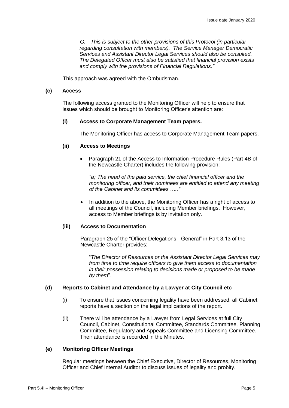*G. This is subject to the other provisions of this Protocol (in particular regarding consultation with members). The Service Manager Democratic Services and Assistant Director Legal Services should also be consulted. The Delegated Officer must also be satisfied that financial provision exists and comply with the provisions of Financial Regulations."*

This approach was agreed with the Ombudsman.

#### **(c) Access**

The following access granted to the Monitoring Officer will help to ensure that issues which should be brought to Monitoring Officer's attention are:

#### **(i) Access to Corporate Management Team papers.**

The Monitoring Officer has access to Corporate Management Team papers.

#### **(ii) Access to Meetings**

• Paragraph 21 of the Access to Information Procedure Rules (Part 4B of the Newcastle Charter) includes the following provision:

*"a) The head of the paid service, the chief financial officer and the monitoring officer, and their nominees are entitled to attend any meeting of the Cabinet and its committees ….."*

In addition to the above, the Monitoring Officer has a right of access to all meetings of the Council, including Member briefings. However, access to Member briefings is by invitation only.

#### **(iii) Access to Documentation**

Paragraph 25 of the "Officer Delegations - General" in Part 3.13 of the Newcastle Charter provides:

"*The Director of Resources or the Assistant Director Legal Services may from time to time require officers to give them access to documentation in their possession relating to decisions made or proposed to be made by them*".

#### **(d) Reports to Cabinet and Attendance by a Lawyer at City Council etc**

- (i) To ensure that issues concerning legality have been addressed, all Cabinet reports have a section on the legal implications of the report.
- (ii) There will be attendance by a Lawyer from Legal Services at full City Council, Cabinet, Constitutional Committee, Standards Committee, Planning Committee, Regulatory and Appeals Committee and Licensing Committee. Their attendance is recorded in the Minutes.

#### **(e) Monitoring Officer Meetings**

Regular meetings between the Chief Executive, Director of Resources, Monitoring Officer and Chief Internal Auditor to discuss issues of legality and probity.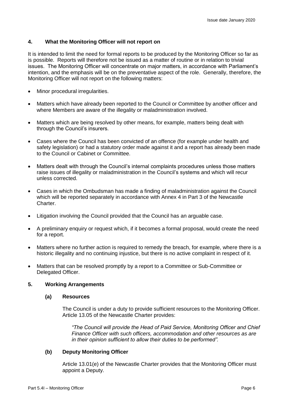## **4. What the Monitoring Officer will not report on**

It is intended to limit the need for formal reports to be produced by the Monitoring Officer so far as is possible. Reports will therefore not be issued as a matter of routine or in relation to trivial issues. The Monitoring Officer will concentrate on major matters, in accordance with Parliament's intention, and the emphasis will be on the preventative aspect of the role. Generally, therefore, the Monitoring Officer will not report on the following matters:

- Minor procedural irregularities.
- Matters which have already been reported to the Council or Committee by another officer and where Members are aware of the illegality or maladministration involved.
- Matters which are being resolved by other means, for example, matters being dealt with through the Council's insurers.
- Cases where the Council has been convicted of an offence (for example under health and safety legislation) or had a statutory order made against it and a report has already been made to the Council or Cabinet or Committee.
- Matters dealt with through the Council's internal complaints procedures unless those matters raise issues of illegality or maladministration in the Council's systems and which will recur unless corrected.
- Cases in which the Ombudsman has made a finding of maladministration against the Council which will be reported separately in accordance with Annex 4 in Part 3 of the Newcastle Charter.
- Litigation involving the Council provided that the Council has an arguable case.
- A preliminary enquiry or request which, if it becomes a formal proposal, would create the need for a report.
- Matters where no further action is required to remedy the breach, for example, where there is a historic illegality and no continuing injustice, but there is no active complaint in respect of it.
- Matters that can be resolved promptly by a report to a Committee or Sub-Committee or Delegated Officer.

#### **5. Working Arrangements**

#### **(a) Resources**

The Council is under a duty to provide sufficient resources to the Monitoring Officer. Article 13.05 of the Newcastle Charter provides:

*"The Council will provide the Head of Paid Service, Monitoring Officer and Chief Finance Officer with such officers, accommodation and other resources as are in their opinion sufficient to allow their duties to be performed".*

#### **(b) Deputy Monitoring Officer**

Article 13.01(e) of the Newcastle Charter provides that the Monitoring Officer must appoint a Deputy.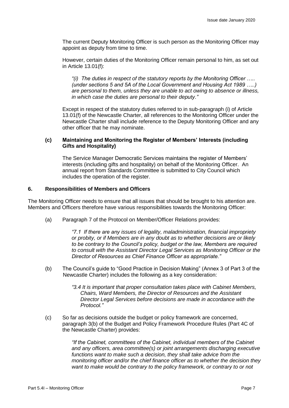The current Deputy Monitoring Officer is such person as the Monitoring Officer may appoint as deputy from time to time.

However, certain duties of the Monitoring Officer remain personal to him, as set out in Article 13.01(f):

*"(i) The duties in respect of the statutory reports by the Monitoring Officer ….. (under sections 5 and 5A of the Local Government and Housing Act 1989 …..) are personal to them, unless they are unable to act owing to absence or illness, in which case the duties are personal to their deputy."*

Except in respect of the statutory duties referred to in sub-paragraph (i) of Article 13.01(f) of the Newcastle Charter, all references to the Monitoring Officer under the Newcastle Charter shall include reference to the Deputy Monitoring Officer and any other officer that he may nominate.

#### **(c) Maintaining and Monitoring the Register of Members' Interests (including Gifts and Hospitality)**

The Service Manager Democratic Services maintains the register of Members' interests (including gifts and hospitality) on behalf of the Monitoring Officer. An annual report from Standards Committee is submitted to City Council which includes the operation of the register.

# **6. Responsibilities of Members and Officers**

The Monitoring Officer needs to ensure that all issues that should be brought to his attention are. Members and Officers therefore have various responsibilities towards the Monitoring Officer:

(a) Paragraph 7 of the Protocol on Member/Officer Relations provides:

*"7.1 If there are any issues of legality, maladministration, financial impropriety or probity, or if Members are in any doubt as to whether decisions are or likely to be contrary to the Council's policy, budget or the law, Members are required to consult with the Assistant Director Legal Services as Monitoring Officer or the Director of Resources as Chief Finance Officer as appropriate."*

(b) The Council's guide to "Good Practice in Decision Making" (Annex 3 of Part 3 of the Newcastle Charter) includes the following as a key consideration:

> *"3.4 It is important that proper consultation takes place with Cabinet Members, Chairs, Ward Members, the Director of Resources and the Assistant Director Legal Services before decisions are made in accordance with the Protocol."*

(c) So far as decisions outside the budget or policy framework are concerned, paragraph 3(b) of the Budget and Policy Framework Procedure Rules (Part 4C of the Newcastle Charter) provides:

> *"If the Cabinet, committees of the Cabinet, individual members of the Cabinet and any officers, area committee(s) or joint arrangements discharging executive functions want to make such a decision, they shall take advice from the monitoring officer and/or the chief finance officer as to whether the decision they want to make would be contrary to the policy framework, or contrary to or not*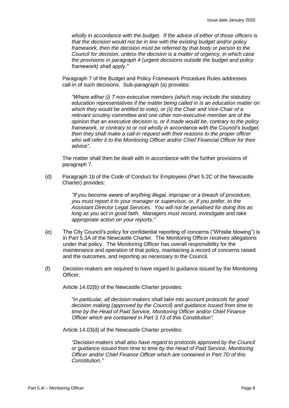*wholly in accordance with the budget. If the advice of either of those officers is that the decision would not be in line with the existing budget and/or policy framework, then the decision must be referred by that body or person to the Council for decision, unless the decision is a matter of urgency, in which case the provisions in paragraph 4 (urgent decisions outside the budget and policy framework) shall apply."*

Paragraph 7 of the Budget and Policy Framework Procedure Rules addresses call-in of such decisions. Sub-paragraph (a) provides:

*"Where either (i) 7 non-executive members (which may include the statutory education representatives if the matter being called in is an education matter on which they would be entitled to vote), or (ii) the Chair and Vice-Chair of a relevant scrutiny committee and one other non-executive member are of the opinion that an executive decision is, or if made would be, contrary to the policy framework, or contrary to or not wholly in accordance with the Council's budget, then they shall make a call-in request with their reasons to the proper officer who will refer it to the Monitoring Officer and/or Chief Financial Officer for their advice".*

The matter shall then be dealt with in accordance with the further provisions of paragraph 7.

(d) Paragraph 1b of the Code of Conduct for Employees (Part 5.2C of the Newcastle Charter) provides:

> *"If you become aware of anything illegal, improper or a breach of procedure, you must report it to your manager or supervisor, or, if you prefer, to the Assistant Director Legal Services. You will not be penalised for doing this as long as you act in good faith. Managers must record, investigate and take appropriate action on your reports."*

- (e) The City Council's policy for confidential reporting of concerns ("Whistle blowing") is in Part 5.3A of the Newcastle Charter. The Monitoring Officer receives allegations under that policy. The Monitoring Officer has overall responsibility for the maintenance and operation of that policy, maintaining a record of concerns raised and the outcomes, and reporting as necessary to the Council.
- (f) Decision-makers are required to have regard to guidance issued by the Monitoring Officer.

Article 14.02(b) of the Newcastle Charter provides:

"*In particular, all decision-makers shall take into account protocols for good decision making (approved by the Council) and guidance issued from time to time by the Head of Paid Service, Monitoring Officer and/or Chief Finance Officer which are contained in Part 3.13 of this Constitution".*

Article 14.03(d) of the Newcastle Charter provides:

*"Decision-makers shall also have regard to protocols approved by the Council or guidance issued from time to time by the Head of Paid Service, Monitoring Officer and/or Chief Finance Officer which are contained in Part 7D of this Constitution."*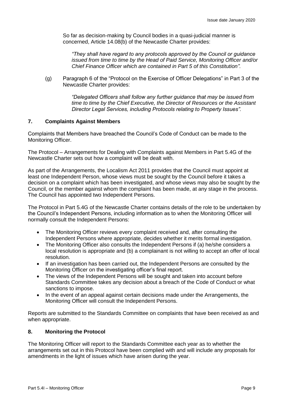So far as decision-making by Council bodies in a quasi-judicial manner is concerned, Article 14.08(b) of the Newcastle Charter provides:

*"They shall have regard to any protocols approved by the Council or guidance issued from time to time by the Head of Paid Service, Monitoring Officer and/or Chief Finance Officer which are contained in Part 5 of this Constitution".*

(g) Paragraph 6 of the "Protocol on the Exercise of Officer Delegations" in Part 3 of the Newcastle Charter provides:

> *"Delegated Officers shall follow any further guidance that may be issued from time to time by the Chief Executive, the Director of Resources or the Assistant Director Legal Services, including Protocols relating to Property Issues".*

### **7. Complaints Against Members**

Complaints that Members have breached the Council's Code of Conduct can be made to the Monitoring Officer.

The Protocol – Arrangements for Dealing with Complaints against Members in Part 5.4G of the Newcastle Charter sets out how a complaint will be dealt with.

As part of the Arrangements, the Localism Act 2011 provides that the Council must appoint at least one Independent Person, whose views must be sought by the Council before it takes a decision on a complaint which has been investigated, and whose views may also be sought by the Council, or the member against whom the complaint has been made, at any stage in the process. The Council has appointed two Independent Persons.

The Protocol in Part 5.4G of the Newcastle Charter contains details of the role to be undertaken by the Council's Independent Persons, including information as to when the Monitoring Officer will normally consult the Independent Persons:

- The Monitoring Officer reviews every complaint received and, after consulting the Independent Persons where appropriate, decides whether it merits formal investigation.
- The Monitoring Officer also consults the Independent Persons if (a) he/she considers a local resolution is appropriate and (b) a complainant is not willing to accept an offer of local resolution.
- If an investigation has been carried out, the Independent Persons are consulted by the Monitoring Officer on the investigating officer's final report.
- The views of the Independent Persons will be sought and taken into account before Standards Committee takes any decision about a breach of the Code of Conduct or what sanctions to impose.
- In the event of an appeal against certain decisions made under the Arrangements, the Monitoring Officer will consult the Independent Persons.

Reports are submitted to the Standards Committee on complaints that have been received as and when appropriate.

# **8. Monitoring the Protocol**

The Monitoring Officer will report to the Standards Committee each year as to whether the arrangements set out in this Protocol have been complied with and will include any proposals for amendments in the light of issues which have arisen during the year.